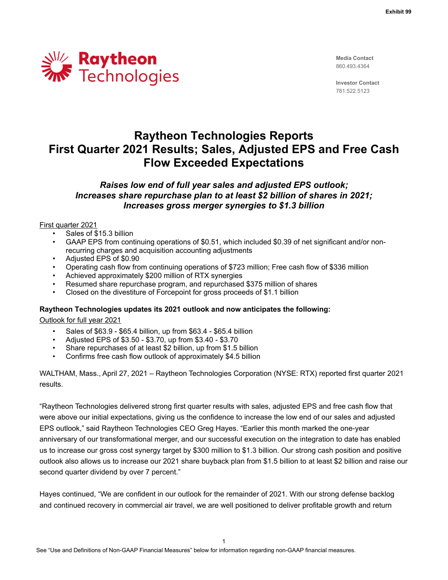

**Media Contact** 860.493.4364

**Investor Contact** 781.522.5123

# **Raytheon Technologies Reports First Quarter 2021 Results; Sales, Adjusted EPS and Free Cash Flow Exceeded Expectations**

## *Raises low end of full year sales and adjusted EPS outlook; Increases share repurchase plan to at least \$2 billion of shares in 2021; Increases gross merger synergies to \$1.3 billion*

#### First quarter 2021

- Sales of \$15.3 billion
- GAAP EPS from continuing operations of \$0.51, which included \$0.39 of net significant and/or nonrecurring charges and acquisition accounting adjustments
- Adjusted EPS of \$0.90
- Operating cash flow from continuing operations of \$723 million; Free cash flow of \$336 million
- Achieved approximately \$200 million of RTX synergies
- Resumed share repurchase program, and repurchased \$375 million of shares
- Closed on the divestiture of Forcepoint for gross proceeds of \$1.1 billion

## **Raytheon Technologies updates its 2021 outlook and now anticipates the following:**

Outlook for full year 2021

- Sales of \$63.9 \$65.4 billion, up from \$63.4 \$65.4 billion
- Adjusted EPS of \$3.50 \$3.70, up from \$3.40 \$3.70
- Share repurchases of at least \$2 billion, up from \$1.5 billion
- Confirms free cash flow outlook of approximately \$4.5 billion

WALTHAM, Mass., April 27, 2021 – Raytheon Technologies Corporation (NYSE: RTX) reported first quarter 2021 results.

"Raytheon Technologies delivered strong first quarter results with sales, adjusted EPS and free cash flow that were above our initial expectations, giving us the confidence to increase the low end of our sales and adjusted EPS outlook," said Raytheon Technologies CEO Greg Hayes. "Earlier this month marked the one-year anniversary of our transformational merger, and our successful execution on the integration to date has enabled us to increase our gross cost synergy target by \$300 million to \$1.3 billion. Our strong cash position and positive outlook also allows us to increase our 2021 share buyback plan from \$1.5 billion to at least \$2 billion and raise our second quarter dividend by over 7 percent."

Hayes continued, "We are confident in our outlook for the remainder of 2021. With our strong defense backlog and continued recovery in commercial air travel, we are well positioned to deliver profitable growth and return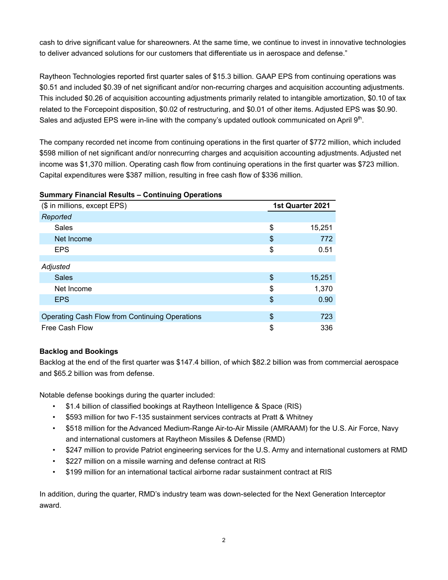cash to drive significant value for shareowners. At the same time, we continue to invest in innovative technologies to deliver advanced solutions for our customers that differentiate us in aerospace and defense."

Raytheon Technologies reported first quarter sales of \$15.3 billion. GAAP EPS from continuing operations was \$0.51 and included \$0.39 of net significant and/or non-recurring charges and acquisition accounting adjustments. This included \$0.26 of acquisition accounting adjustments primarily related to intangible amortization, \$0.10 of tax related to the Forcepoint disposition, \$0.02 of restructuring, and \$0.01 of other items. Adjusted EPS was \$0.90. Sales and adjusted EPS were in-line with the company's updated outlook communicated on April  $9<sup>th</sup>$ .

The company recorded net income from continuing operations in the first quarter of \$772 million, which included \$598 million of net significant and/or nonrecurring charges and acquisition accounting adjustments. Adjusted net income was \$1,370 million. Operating cash flow from continuing operations in the first quarter was \$723 million. Capital expenditures were \$387 million, resulting in free cash flow of \$336 million.

## **Summary Financial Results – Continuing Operations**

| (\$ in millions, except EPS)                   | 1st Quarter 2021 |        |  |
|------------------------------------------------|------------------|--------|--|
| Reported                                       |                  |        |  |
| Sales                                          | \$               | 15,251 |  |
| Net Income                                     | \$               | 772    |  |
| <b>EPS</b>                                     | \$               | 0.51   |  |
|                                                |                  |        |  |
| Adjusted                                       |                  |        |  |
| <b>Sales</b>                                   | \$               | 15,251 |  |
| Net Income                                     | \$               | 1,370  |  |
| <b>EPS</b>                                     | \$               | 0.90   |  |
|                                                |                  |        |  |
| Operating Cash Flow from Continuing Operations | \$               | 723    |  |
| Free Cash Flow                                 | \$               | 336    |  |

## **Backlog and Bookings**

Backlog at the end of the first quarter was \$147.4 billion, of which \$82.2 billion was from commercial aerospace and \$65.2 billion was from defense.

Notable defense bookings during the quarter included:

- \$1.4 billion of classified bookings at Raytheon Intelligence & Space (RIS)
- \$593 million for two F-135 sustainment services contracts at Pratt & Whitney
- \$518 million for the Advanced Medium-Range Air-to-Air Missile (AMRAAM) for the U.S. Air Force, Navy and international customers at Raytheon Missiles & Defense (RMD)
- \$247 million to provide Patriot engineering services for the U.S. Army and international customers at RMD
- \$227 million on a missile warning and defense contract at RIS
- \$199 million for an international tactical airborne radar sustainment contract at RIS

In addition, during the quarter, RMD's industry team was down-selected for the Next Generation Interceptor award.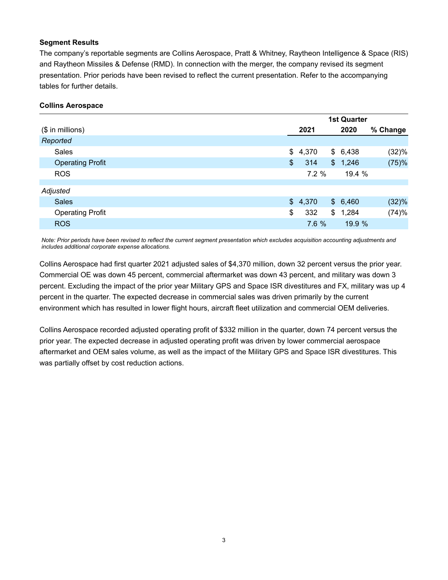## **Segment Results**

The company's reportable segments are Collins Aerospace, Pratt & Whitney, Raytheon Intelligence & Space (RIS) and Raytheon Missiles & Defense (RMD). In connection with the merger, the company revised its segment presentation. Prior periods have been revised to reflect the current presentation. Refer to the accompanying tables for further details.

#### **Collins Aerospace**

|                         | <b>1st Quarter</b> |                |         |          |
|-------------------------|--------------------|----------------|---------|----------|
| $($$ in millions)       | 2021               |                | 2020    | % Change |
| Reported                |                    |                |         |          |
| <b>Sales</b>            | \$<br>4,370        |                | \$6,438 | (32)%    |
| <b>Operating Profit</b> | \$<br>314          |                | \$1,246 | (75)%    |
| <b>ROS</b>              | 7.2%               |                | 19.4 %  |          |
|                         |                    |                |         |          |
| Adjusted                |                    |                |         |          |
| <b>Sales</b>            | \$4,370            |                | \$6,460 | (32)%    |
| <b>Operating Profit</b> | \$<br>332          | $\mathbb{S}^-$ | 1,284   | (74)%    |
| <b>ROS</b>              | 7.6 %              |                | 19.9 %  |          |

*Note: Prior periods have been revised to reflect the current segment presentation which excludes acquisition accounting adjustments and includes additional corporate expense allocations.*

Collins Aerospace had first quarter 2021 adjusted sales of \$4,370 million, down 32 percent versus the prior year. Commercial OE was down 45 percent, commercial aftermarket was down 43 percent, and military was down 3 percent. Excluding the impact of the prior year Military GPS and Space ISR divestitures and FX, military was up 4 percent in the quarter. The expected decrease in commercial sales was driven primarily by the current environment which has resulted in lower flight hours, aircraft fleet utilization and commercial OEM deliveries.

Collins Aerospace recorded adjusted operating profit of \$332 million in the quarter, down 74 percent versus the prior year. The expected decrease in adjusted operating profit was driven by lower commercial aerospace aftermarket and OEM sales volume, as well as the impact of the Military GPS and Space ISR divestitures. This was partially offset by cost reduction actions.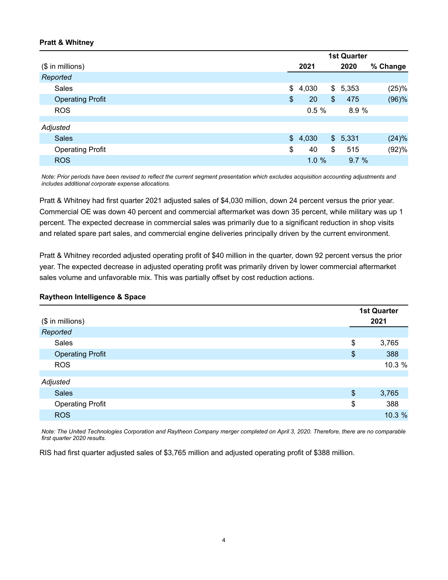## **Pratt & Whitney**

|                         | <b>1st Quarter</b> |       |               |         |          |
|-------------------------|--------------------|-------|---------------|---------|----------|
| $($$ in millions)       |                    | 2021  |               | 2020    | % Change |
| Reported                |                    |       |               |         |          |
| <b>Sales</b>            | \$                 | 4,030 |               | \$5,353 | (25)%    |
| <b>Operating Profit</b> | \$                 | 20    | $\frac{1}{2}$ | 475     | (96)%    |
| <b>ROS</b>              |                    | 0.5%  |               | 8.9 %   |          |
|                         |                    |       |               |         |          |
| Adjusted                |                    |       |               |         |          |
| <b>Sales</b>            | $\mathbb{S}^-$     | 4,030 |               | \$5,331 | (24)%    |
| <b>Operating Profit</b> | \$                 | 40    | \$            | 515     | (92)%    |
| <b>ROS</b>              |                    | 1.0%  |               | 9.7%    |          |

*Note: Prior periods have been revised to reflect the current segment presentation which excludes acquisition accounting adjustments and includes additional corporate expense allocations.*

Pratt & Whitney had first quarter 2021 adjusted sales of \$4,030 million, down 24 percent versus the prior year. Commercial OE was down 40 percent and commercial aftermarket was down 35 percent, while military was up 1 percent. The expected decrease in commercial sales was primarily due to a significant reduction in shop visits and related spare part sales, and commercial engine deliveries principally driven by the current environment.

Pratt & Whitney recorded adjusted operating profit of \$40 million in the quarter, down 92 percent versus the prior year. The expected decrease in adjusted operating profit was primarily driven by lower commercial aftermarket sales volume and unfavorable mix. This was partially offset by cost reduction actions.

#### **Raytheon Intelligence & Space**

| (\$ in millions)        |               | <b>1st Quarter</b><br>2021 |
|-------------------------|---------------|----------------------------|
| Reported                |               |                            |
| Sales                   | \$            | 3,765                      |
| <b>Operating Profit</b> | \$            | 388                        |
| <b>ROS</b>              |               | 10.3 %                     |
| Adjusted                |               |                            |
| <b>Sales</b>            | $\frac{1}{2}$ | 3,765                      |
| <b>Operating Profit</b> | \$            | 388                        |
| <b>ROS</b>              |               | 10.3 %                     |

*Note: The United Technologies Corporation and Raytheon Company merger completed on April 3, 2020. Therefore, there are no comparable first quarter 2020 results.*

RIS had first quarter adjusted sales of \$3,765 million and adjusted operating profit of \$388 million.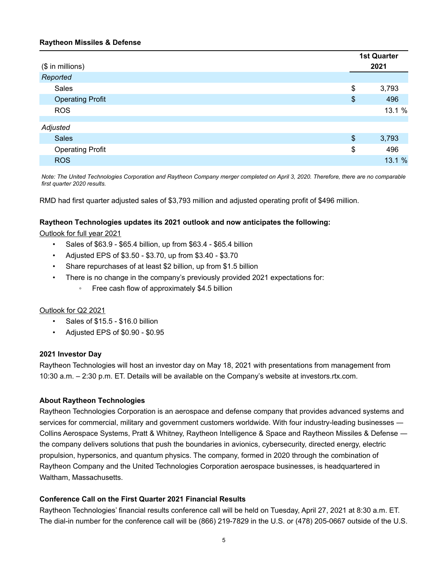## **Raytheon Missiles & Defense**

|                         |                       | <b>1st Quarter</b> |
|-------------------------|-----------------------|--------------------|
| (\$ in millions)        |                       | 2021               |
| Reported                |                       |                    |
| Sales                   | \$                    | 3,793              |
| <b>Operating Profit</b> | $\boldsymbol{\theta}$ | 496                |
| <b>ROS</b>              |                       | 13.1 %             |
|                         |                       |                    |
| Adjusted                |                       |                    |
| <b>Sales</b>            | $\frac{1}{2}$         | 3,793              |
| <b>Operating Profit</b> | \$                    | 496                |
| <b>ROS</b>              |                       | 13.1 %             |

*Note: The United Technologies Corporation and Raytheon Company merger completed on April 3, 2020. Therefore, there are no comparable first quarter 2020 results.*

RMD had first quarter adjusted sales of \$3,793 million and adjusted operating profit of \$496 million.

## **Raytheon Technologies updates its 2021 outlook and now anticipates the following:**

Outlook for full year 2021

- Sales of \$63.9 \$65.4 billion, up from \$63.4 \$65.4 billion
- Adjusted EPS of \$3.50 \$3.70, up from \$3.40 \$3.70
- Share repurchases of at least \$2 billion, up from \$1.5 billion
- There is no change in the company's previously provided 2021 expectations for:
	- Free cash flow of approximately \$4.5 billion

#### Outlook for Q2 2021

- Sales of \$15.5 \$16.0 billion
- Adjusted EPS of \$0.90 \$0.95

#### **2021 Investor Day**

Raytheon Technologies will host an investor day on May 18, 2021 with presentations from management from 10:30 a.m. – 2:30 p.m. ET. Details will be available on the Company's website at investors.rtx.com.

#### **About Raytheon Technologies**

Raytheon Technologies Corporation is an aerospace and defense company that provides advanced systems and services for commercial, military and government customers worldwide. With four industry-leading businesses ― Collins Aerospace Systems, Pratt & Whitney, Raytheon Intelligence & Space and Raytheon Missiles & Defense ― the company delivers solutions that push the boundaries in avionics, cybersecurity, directed energy, electric propulsion, hypersonics, and quantum physics. The company, formed in 2020 through the combination of Raytheon Company and the United Technologies Corporation aerospace businesses, is headquartered in Waltham, Massachusetts.

## **Conference Call on the First Quarter 2021 Financial Results**

Raytheon Technologies' financial results conference call will be held on Tuesday, April 27, 2021 at 8:30 a.m. ET. The dial-in number for the conference call will be (866) 219-7829 in the U.S. or (478) 205-0667 outside of the U.S.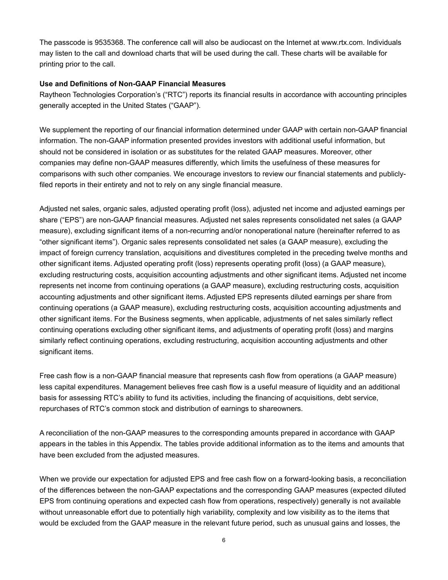The passcode is 9535368. The conference call will also be audiocast on the Internet at www.rtx.com. Individuals may listen to the call and download charts that will be used during the call. These charts will be available for printing prior to the call.

## **Use and Definitions of Non-GAAP Financial Measures**

Raytheon Technologies Corporation's ("RTC") reports its financial results in accordance with accounting principles generally accepted in the United States ("GAAP").

We supplement the reporting of our financial information determined under GAAP with certain non-GAAP financial information. The non-GAAP information presented provides investors with additional useful information, but should not be considered in isolation or as substitutes for the related GAAP measures. Moreover, other companies may define non-GAAP measures differently, which limits the usefulness of these measures for comparisons with such other companies. We encourage investors to review our financial statements and publiclyfiled reports in their entirety and not to rely on any single financial measure.

Adjusted net sales, organic sales, adjusted operating profit (loss), adjusted net income and adjusted earnings per share ("EPS") are non-GAAP financial measures. Adjusted net sales represents consolidated net sales (a GAAP measure), excluding significant items of a non-recurring and/or nonoperational nature (hereinafter referred to as "other significant items"). Organic sales represents consolidated net sales (a GAAP measure), excluding the impact of foreign currency translation, acquisitions and divestitures completed in the preceding twelve months and other significant items. Adjusted operating profit (loss) represents operating profit (loss) (a GAAP measure), excluding restructuring costs, acquisition accounting adjustments and other significant items. Adjusted net income represents net income from continuing operations (a GAAP measure), excluding restructuring costs, acquisition accounting adjustments and other significant items. Adjusted EPS represents diluted earnings per share from continuing operations (a GAAP measure), excluding restructuring costs, acquisition accounting adjustments and other significant items. For the Business segments, when applicable, adjustments of net sales similarly reflect continuing operations excluding other significant items, and adjustments of operating profit (loss) and margins similarly reflect continuing operations, excluding restructuring, acquisition accounting adjustments and other significant items.

Free cash flow is a non-GAAP financial measure that represents cash flow from operations (a GAAP measure) less capital expenditures. Management believes free cash flow is a useful measure of liquidity and an additional basis for assessing RTC's ability to fund its activities, including the financing of acquisitions, debt service, repurchases of RTC's common stock and distribution of earnings to shareowners.

A reconciliation of the non-GAAP measures to the corresponding amounts prepared in accordance with GAAP appears in the tables in this Appendix. The tables provide additional information as to the items and amounts that have been excluded from the adjusted measures.

When we provide our expectation for adjusted EPS and free cash flow on a forward-looking basis, a reconciliation of the differences between the non-GAAP expectations and the corresponding GAAP measures (expected diluted EPS from continuing operations and expected cash flow from operations, respectively) generally is not available without unreasonable effort due to potentially high variability, complexity and low visibility as to the items that would be excluded from the GAAP measure in the relevant future period, such as unusual gains and losses, the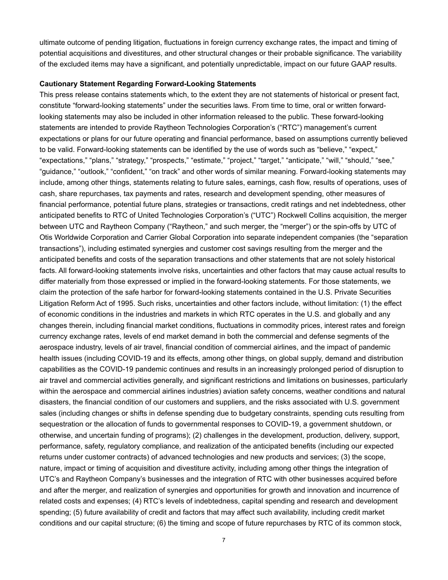ultimate outcome of pending litigation, fluctuations in foreign currency exchange rates, the impact and timing of potential acquisitions and divestitures, and other structural changes or their probable significance. The variability of the excluded items may have a significant, and potentially unpredictable, impact on our future GAAP results.

#### **Cautionary Statement Regarding Forward-Looking Statements**

This press release contains statements which, to the extent they are not statements of historical or present fact, constitute "forward-looking statements" under the securities laws. From time to time, oral or written forwardlooking statements may also be included in other information released to the public. These forward-looking statements are intended to provide Raytheon Technologies Corporation's ("RTC") management's current expectations or plans for our future operating and financial performance, based on assumptions currently believed to be valid. Forward-looking statements can be identified by the use of words such as "believe," "expect," "expectations," "plans," "strategy," "prospects," "estimate," "project," "target," "anticipate," "will," "should," "see," "guidance," "outlook," "confident," "on track" and other words of similar meaning. Forward-looking statements may include, among other things, statements relating to future sales, earnings, cash flow, results of operations, uses of cash, share repurchases, tax payments and rates, research and development spending, other measures of financial performance, potential future plans, strategies or transactions, credit ratings and net indebtedness, other anticipated benefits to RTC of United Technologies Corporation's ("UTC") Rockwell Collins acquisition, the merger between UTC and Raytheon Company ("Raytheon," and such merger, the "merger") or the spin-offs by UTC of Otis Worldwide Corporation and Carrier Global Corporation into separate independent companies (the "separation transactions"), including estimated synergies and customer cost savings resulting from the merger and the anticipated benefits and costs of the separation transactions and other statements that are not solely historical facts. All forward-looking statements involve risks, uncertainties and other factors that may cause actual results to differ materially from those expressed or implied in the forward-looking statements. For those statements, we claim the protection of the safe harbor for forward-looking statements contained in the U.S. Private Securities Litigation Reform Act of 1995. Such risks, uncertainties and other factors include, without limitation: (1) the effect of economic conditions in the industries and markets in which RTC operates in the U.S. and globally and any changes therein, including financial market conditions, fluctuations in commodity prices, interest rates and foreign currency exchange rates, levels of end market demand in both the commercial and defense segments of the aerospace industry, levels of air travel, financial condition of commercial airlines, and the impact of pandemic health issues (including COVID-19 and its effects, among other things, on global supply, demand and distribution capabilities as the COVID-19 pandemic continues and results in an increasingly prolonged period of disruption to air travel and commercial activities generally, and significant restrictions and limitations on businesses, particularly within the aerospace and commercial airlines industries) aviation safety concerns, weather conditions and natural disasters, the financial condition of our customers and suppliers, and the risks associated with U.S. government sales (including changes or shifts in defense spending due to budgetary constraints, spending cuts resulting from sequestration or the allocation of funds to governmental responses to COVID-19, a government shutdown, or otherwise, and uncertain funding of programs); (2) challenges in the development, production, delivery, support, performance, safety, regulatory compliance, and realization of the anticipated benefits (including our expected returns under customer contracts) of advanced technologies and new products and services; (3) the scope, nature, impact or timing of acquisition and divestiture activity, including among other things the integration of UTC's and Raytheon Company's businesses and the integration of RTC with other businesses acquired before and after the merger, and realization of synergies and opportunities for growth and innovation and incurrence of related costs and expenses; (4) RTC's levels of indebtedness, capital spending and research and development spending; (5) future availability of credit and factors that may affect such availability, including credit market conditions and our capital structure; (6) the timing and scope of future repurchases by RTC of its common stock,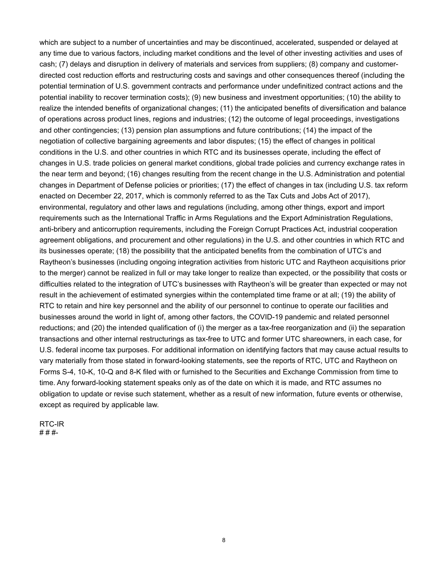which are subject to a number of uncertainties and may be discontinued, accelerated, suspended or delayed at any time due to various factors, including market conditions and the level of other investing activities and uses of cash; (7) delays and disruption in delivery of materials and services from suppliers; (8) company and customerdirected cost reduction efforts and restructuring costs and savings and other consequences thereof (including the potential termination of U.S. government contracts and performance under undefinitized contract actions and the potential inability to recover termination costs); (9) new business and investment opportunities; (10) the ability to realize the intended benefits of organizational changes; (11) the anticipated benefits of diversification and balance of operations across product lines, regions and industries; (12) the outcome of legal proceedings, investigations and other contingencies; (13) pension plan assumptions and future contributions; (14) the impact of the negotiation of collective bargaining agreements and labor disputes; (15) the effect of changes in political conditions in the U.S. and other countries in which RTC and its businesses operate, including the effect of changes in U.S. trade policies on general market conditions, global trade policies and currency exchange rates in the near term and beyond; (16) changes resulting from the recent change in the U.S. Administration and potential changes in Department of Defense policies or priorities; (17) the effect of changes in tax (including U.S. tax reform enacted on December 22, 2017, which is commonly referred to as the Tax Cuts and Jobs Act of 2017), environmental, regulatory and other laws and regulations (including, among other things, export and import requirements such as the International Traffic in Arms Regulations and the Export Administration Regulations, anti-bribery and anticorruption requirements, including the Foreign Corrupt Practices Act, industrial cooperation agreement obligations, and procurement and other regulations) in the U.S. and other countries in which RTC and its businesses operate; (18) the possibility that the anticipated benefits from the combination of UTC's and Raytheon's businesses (including ongoing integration activities from historic UTC and Raytheon acquisitions prior to the merger) cannot be realized in full or may take longer to realize than expected, or the possibility that costs or difficulties related to the integration of UTC's businesses with Raytheon's will be greater than expected or may not result in the achievement of estimated synergies within the contemplated time frame or at all; (19) the ability of RTC to retain and hire key personnel and the ability of our personnel to continue to operate our facilities and businesses around the world in light of, among other factors, the COVID-19 pandemic and related personnel reductions; and (20) the intended qualification of (i) the merger as a tax-free reorganization and (ii) the separation transactions and other internal restructurings as tax-free to UTC and former UTC shareowners, in each case, for U.S. federal income tax purposes. For additional information on identifying factors that may cause actual results to vary materially from those stated in forward-looking statements, see the reports of RTC, UTC and Raytheon on Forms S-4, 10-K, 10-Q and 8-K filed with or furnished to the Securities and Exchange Commission from time to time. Any forward-looking statement speaks only as of the date on which it is made, and RTC assumes no obligation to update or revise such statement, whether as a result of new information, future events or otherwise, except as required by applicable law.

RTC-IR # # #-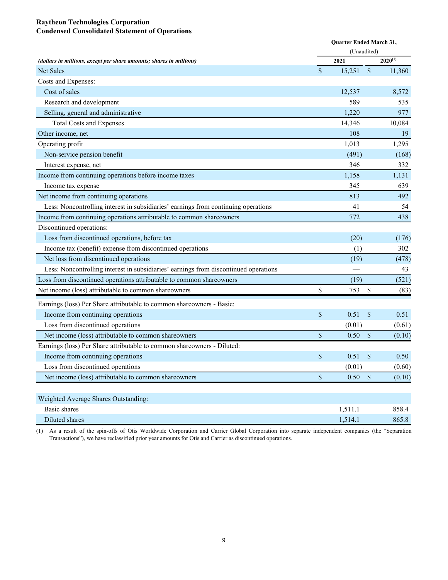## **Raytheon Technologies Corporation Condensed Consolidated Statement of Operations**

|                                                                                      | Quarter Ended March 31, |         |               |              |
|--------------------------------------------------------------------------------------|-------------------------|---------|---------------|--------------|
|                                                                                      | (Unaudited)             |         |               |              |
| (dollars in millions, except per share amounts; shares in millions)                  |                         | 2021    |               | $2020^{(1)}$ |
| <b>Net Sales</b>                                                                     | \$                      | 15,251  | $\mathbb{S}$  | 11,360       |
| Costs and Expenses:                                                                  |                         |         |               |              |
| Cost of sales                                                                        |                         | 12,537  |               | 8,572        |
| Research and development                                                             |                         | 589     |               | 535          |
| Selling, general and administrative                                                  |                         | 1,220   |               | 977          |
| <b>Total Costs and Expenses</b>                                                      |                         | 14,346  |               | 10,084       |
| Other income, net                                                                    |                         | 108     |               | 19           |
| Operating profit                                                                     |                         | 1,013   |               | 1,295        |
| Non-service pension benefit                                                          |                         | (491)   |               | (168)        |
| Interest expense, net                                                                |                         | 346     |               | 332          |
| Income from continuing operations before income taxes                                |                         | 1,158   |               | 1,131        |
| Income tax expense                                                                   |                         | 345     |               | 639          |
| Net income from continuing operations                                                |                         | 813     |               | 492          |
| Less: Noncontrolling interest in subsidiaries' earnings from continuing operations   |                         | 41      |               | 54           |
| Income from continuing operations attributable to common shareowners                 |                         | 772     |               | 438          |
| Discontinued operations:                                                             |                         |         |               |              |
| Loss from discontinued operations, before tax                                        |                         | (20)    |               | (176)        |
| Income tax (benefit) expense from discontinued operations                            |                         | (1)     |               | 302          |
| Net loss from discontinued operations                                                |                         | (19)    |               | (478)        |
| Less: Noncontrolling interest in subsidiaries' earnings from discontinued operations |                         |         |               | 43           |
| Loss from discontinued operations attributable to common shareowners                 |                         | (19)    |               | (521)        |
| Net income (loss) attributable to common shareowners                                 | \$                      | 753     | \$            | (83)         |
| Earnings (loss) Per Share attributable to common shareowners - Basic:                |                         |         |               |              |
| Income from continuing operations                                                    | \$                      | 0.51    | \$            | 0.51         |
| Loss from discontinued operations                                                    |                         | (0.01)  |               | (0.61)       |
| Net income (loss) attributable to common shareowners                                 | \$                      | 0.50    | $\mathbb{S}$  | (0.10)       |
| Earnings (loss) Per Share attributable to common shareowners - Diluted:              |                         |         |               |              |
| Income from continuing operations                                                    | $\$$                    | 0.51    | \$            | 0.50         |
| Loss from discontinued operations                                                    |                         | (0.01)  |               | (0.60)       |
| Net income (loss) attributable to common shareowners                                 | $\mathbb S$             | 0.50    | $\mathcal{S}$ | (0.10)       |
|                                                                                      |                         |         |               |              |
| Weighted Average Shares Outstanding:                                                 |                         |         |               |              |
| <b>Basic</b> shares                                                                  |                         | 1,511.1 |               | 858.4        |
| Diluted shares                                                                       |                         | 1,514.1 |               | 865.8        |

(1) As a result of the spin-offs of Otis Worldwide Corporation and Carrier Global Corporation into separate independent companies (the "Separation Transactions"), we have reclassified prior year amounts for Otis and Carrier as discontinued operations.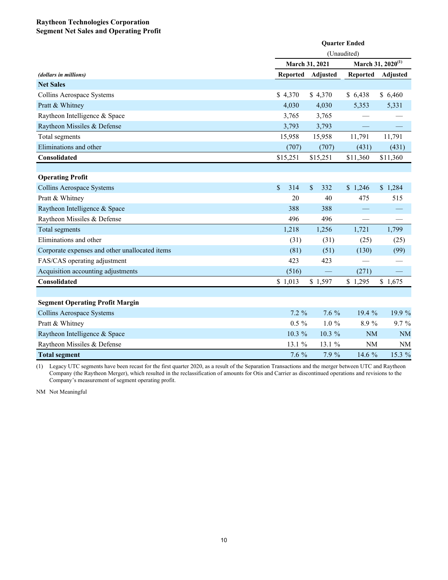## **Raytheon Technologies Corporation Segment Net Sales and Operating Profit**

|                                                | <b>Quarter Ended</b> |                |                 |                               |  |  |
|------------------------------------------------|----------------------|----------------|-----------------|-------------------------------|--|--|
|                                                | (Unaudited)          |                |                 |                               |  |  |
|                                                |                      | March 31, 2021 |                 | March 31, 2020 <sup>(1)</sup> |  |  |
| (dollars in millions)                          | <b>Reported</b>      | Adjusted       | <b>Reported</b> |                               |  |  |
| <b>Net Sales</b>                               |                      |                |                 |                               |  |  |
| Collins Aerospace Systems                      | \$4,370              | \$4,370        | \$6,438         | \$6,460                       |  |  |
| Pratt & Whitney                                | 4,030                | 4,030          | 5,353           | 5,331                         |  |  |
| Raytheon Intelligence & Space                  | 3,765                | 3,765          |                 |                               |  |  |
| Raytheon Missiles & Defense                    | 3,793                | 3,793          |                 |                               |  |  |
| Total segments                                 | 15,958               | 15,958         | 11,791          | 11,791                        |  |  |
| Eliminations and other                         | (707)                | (707)          | (431)           | (431)                         |  |  |
| Consolidated                                   | \$15,251             | \$15,251       | \$11,360        | \$11,360                      |  |  |
|                                                |                      |                |                 |                               |  |  |
| <b>Operating Profit</b>                        |                      |                |                 |                               |  |  |
| Collins Aerospace Systems                      | \$<br>314            | \$<br>332      | \$1,246         | \$1,284                       |  |  |
| Pratt & Whitney                                | 20                   | 40             | 475             | 515                           |  |  |
| Raytheon Intelligence & Space                  | 388                  | 388            |                 |                               |  |  |
| Raytheon Missiles & Defense                    | 496                  | 496            |                 |                               |  |  |
| Total segments                                 | 1,218                | 1,256          | 1,721           | 1,799                         |  |  |
| Eliminations and other                         | (31)                 | (31)           | (25)            | (25)                          |  |  |
| Corporate expenses and other unallocated items | (81)                 | (51)           | (130)           | (99)                          |  |  |
| FAS/CAS operating adjustment                   | 423                  | 423            |                 |                               |  |  |
| Acquisition accounting adjustments             | (516)                |                | (271)           |                               |  |  |
| Consolidated                                   | \$1,013              | \$1,597        | \$1,295         | \$1,675                       |  |  |
|                                                |                      |                |                 |                               |  |  |
| <b>Segment Operating Profit Margin</b>         |                      |                |                 |                               |  |  |
| Collins Aerospace Systems                      | $7.2\%$              | $7.6\%$        | 19.4 %          | 19.9 %                        |  |  |
| Pratt & Whitney                                | $0.5 \%$             | $1.0 \%$       | 8.9%            | $9.7\%$                       |  |  |
| Raytheon Intelligence & Space                  | 10.3 %               | $10.3\%$       | <b>NM</b>       | <b>NM</b>                     |  |  |
| Raytheon Missiles & Defense                    | 13.1 %               | 13.1 %         | <b>NM</b>       | <b>NM</b>                     |  |  |
| <b>Total segment</b>                           | 7.6 %                | 7.9 %          | 14.6 %          | 15.3 %                        |  |  |

(1) Legacy UTC segments have been recast for the first quarter 2020, as a result of the Separation Transactions and the merger between UTC and Raytheon Company (the Raytheon Merger), which resulted in the reclassification of amounts for Otis and Carrier as discontinued operations and revisions to the Company's measurement of segment operating profit.

NM Not Meaningful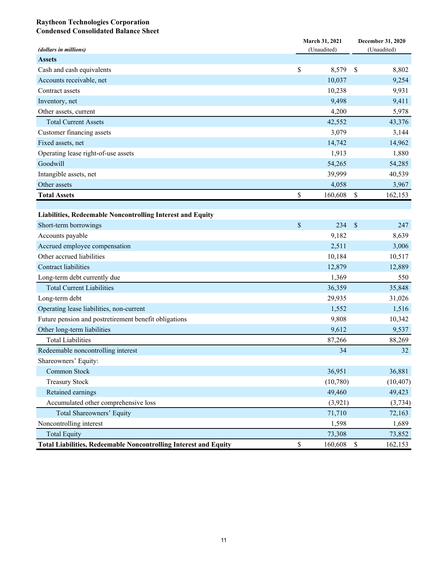#### **Raytheon Technologies Corporation Condensed Consolidated Balance Sheet**

| (dollars in millions)                                                   |              | March 31, 2021<br>(Unaudited) | December 31, 2020<br>(Unaudited) |           |  |
|-------------------------------------------------------------------------|--------------|-------------------------------|----------------------------------|-----------|--|
| <b>Assets</b>                                                           |              |                               |                                  |           |  |
| Cash and cash equivalents                                               | \$           | 8,579                         | $\mathbb{S}$                     | 8,802     |  |
| Accounts receivable, net                                                |              | 10,037                        |                                  | 9,254     |  |
| Contract assets                                                         |              | 10,238                        |                                  | 9,931     |  |
| Inventory, net                                                          |              | 9,498                         |                                  | 9,411     |  |
| Other assets, current                                                   |              | 4,200                         |                                  | 5,978     |  |
| <b>Total Current Assets</b>                                             |              | 42,552                        |                                  | 43,376    |  |
| Customer financing assets                                               |              | 3,079                         |                                  | 3,144     |  |
| Fixed assets, net                                                       |              | 14,742                        |                                  | 14,962    |  |
| Operating lease right-of-use assets                                     |              | 1,913                         |                                  | 1,880     |  |
| Goodwill                                                                |              | 54,265                        |                                  | 54,285    |  |
| Intangible assets, net                                                  |              | 39,999                        |                                  | 40,539    |  |
| Other assets                                                            |              | 4,058                         |                                  | 3,967     |  |
| <b>Total Assets</b>                                                     | \$           | 160,608                       | \$                               | 162,153   |  |
|                                                                         |              |                               |                                  |           |  |
| Liabilities, Redeemable Noncontrolling Interest and Equity              |              |                               |                                  |           |  |
| Short-term borrowings                                                   | \$           | 234                           | $\mathbb{S}$                     | 247       |  |
| Accounts payable                                                        |              | 9,182                         |                                  | 8,639     |  |
| Accrued employee compensation                                           |              | 2,511                         |                                  | 3,006     |  |
| Other accrued liabilities                                               |              | 10,184                        |                                  | 10,517    |  |
| Contract liabilities                                                    |              | 12,879                        |                                  | 12,889    |  |
| Long-term debt currently due                                            |              | 1,369                         |                                  | 550       |  |
| <b>Total Current Liabilities</b>                                        |              | 36,359                        |                                  | 35,848    |  |
| Long-term debt                                                          |              | 29,935                        |                                  | 31,026    |  |
| Operating lease liabilities, non-current                                |              | 1,552                         |                                  | 1,516     |  |
| Future pension and postretirement benefit obligations                   |              | 9,808                         |                                  | 10,342    |  |
| Other long-term liabilities                                             |              | 9,612                         |                                  | 9,537     |  |
| <b>Total Liabilities</b>                                                |              | 87,266                        |                                  | 88,269    |  |
| Redeemable noncontrolling interest                                      |              | 34                            |                                  | 32        |  |
| Shareowners' Equity:                                                    |              |                               |                                  |           |  |
| Common Stock                                                            |              | 36,951                        |                                  | 36,881    |  |
| <b>Treasury Stock</b>                                                   |              | (10,780)                      |                                  | (10, 407) |  |
| Retained earnings                                                       |              | 49,460                        |                                  | 49,423    |  |
| Accumulated other comprehensive loss                                    |              | (3,921)                       |                                  | (3,734)   |  |
| Total Shareowners' Equity                                               |              | 71,710                        |                                  | 72,163    |  |
| Noncontrolling interest                                                 |              | 1,598                         |                                  | 1,689     |  |
| <b>Total Equity</b>                                                     |              | 73,308                        |                                  | 73,852    |  |
| <b>Total Liabilities, Redeemable Noncontrolling Interest and Equity</b> | $\mathbb{S}$ | 160,608                       | $\mathbf{\hat{S}}$               | 162,153   |  |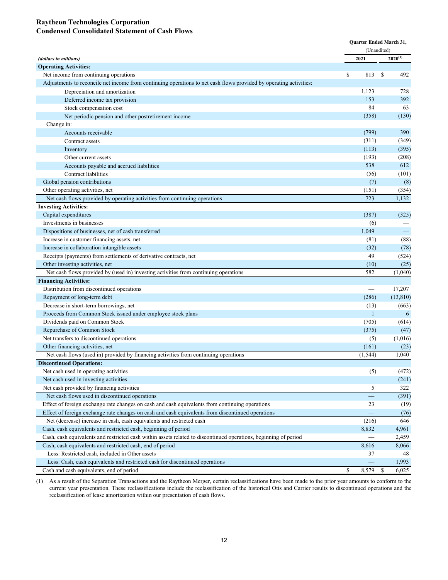## **Raytheon Technologies Corporation Condensed Consolidated Statement of Cash Flows**

|                                                                                                                    | Quarter Ended March 31, |                                |               |                          |
|--------------------------------------------------------------------------------------------------------------------|-------------------------|--------------------------------|---------------|--------------------------|
|                                                                                                                    |                         | (Unaudited)                    |               |                          |
| (dollars in millions)                                                                                              |                         | 2021                           |               | $2020^{(1)}$             |
| <b>Operating Activities:</b>                                                                                       |                         |                                |               |                          |
| Net income from continuing operations                                                                              | \$                      | 813                            | <sup>\$</sup> | 492                      |
| Adjustments to reconcile net income from continuing operations to net cash flows provided by operating activities: |                         |                                |               |                          |
| Depreciation and amortization                                                                                      |                         | 1,123                          |               | 728                      |
| Deferred income tax provision                                                                                      |                         | 153                            |               | 392                      |
| Stock compensation cost                                                                                            |                         | 84                             |               | 63                       |
| Net periodic pension and other postretirement income                                                               |                         | (358)                          |               | (130)                    |
| Change in:                                                                                                         |                         |                                |               |                          |
| Accounts receivable                                                                                                |                         | (799)                          |               | 390                      |
| Contract assets                                                                                                    |                         | (311)                          |               | (349)                    |
| Inventory                                                                                                          |                         | (113)                          |               | (395)                    |
| Other current assets                                                                                               |                         | (193)                          |               | (208)                    |
| Accounts payable and accrued liabilities                                                                           |                         | 538                            |               | 612                      |
| Contract liabilities                                                                                               |                         | (56)                           |               | (101)                    |
| Global pension contributions                                                                                       |                         | (7)                            |               | (8)                      |
| Other operating activities, net                                                                                    |                         | (151)                          |               | (354)                    |
| Net cash flows provided by operating activities from continuing operations                                         |                         | 723                            |               | 1,132                    |
| <b>Investing Activities:</b>                                                                                       |                         |                                |               |                          |
| Capital expenditures                                                                                               |                         | (387)                          |               | (325)                    |
| Investments in businesses                                                                                          |                         | (6)                            |               |                          |
| Dispositions of businesses, net of cash transferred                                                                |                         | 1,049                          |               | $\overline{\phantom{m}}$ |
| Increase in customer financing assets, net                                                                         |                         | (81)                           |               | (88)                     |
| Increase in collaboration intangible assets                                                                        |                         | (32)                           |               | (78)                     |
| Receipts (payments) from settlements of derivative contracts, net                                                  |                         | 49                             |               | (524)                    |
| Other investing activities, net                                                                                    |                         | (10)                           |               | (25)                     |
| Net cash flows provided by (used in) investing activities from continuing operations                               |                         | 582                            |               | (1,040)                  |
| <b>Financing Activities:</b>                                                                                       |                         |                                |               |                          |
| Distribution from discontinued operations                                                                          |                         |                                |               | 17,207                   |
| Repayment of long-term debt                                                                                        |                         | (286)                          |               | (13, 810)                |
| Decrease in short-term borrowings, net                                                                             |                         | (13)                           |               | (663)                    |
| Proceeds from Common Stock issued under employee stock plans                                                       |                         | $\mathbf{1}$                   |               | 6                        |
| Dividends paid on Common Stock                                                                                     |                         | (705)                          |               | (614)                    |
| Repurchase of Common Stock                                                                                         |                         | (375)                          |               | (47)                     |
| Net transfers to discontinued operations                                                                           |                         | (5)                            |               | (1,016)                  |
| Other financing activities, net                                                                                    |                         | (161)                          |               | (23)                     |
| Net cash flows (used in) provided by financing activities from continuing operations                               |                         | (1, 544)                       |               | 1,040                    |
| <b>Discontinued Operations:</b>                                                                                    |                         |                                |               |                          |
| Net cash used in operating activities                                                                              |                         | (5)                            |               | (472)                    |
| Net cash used in investing activities                                                                              |                         | $\overline{\phantom{0}}$       |               | (241)                    |
| Net cash provided by financing activities                                                                          |                         | 5                              |               | 322                      |
| Net cash flows used in discontinued operations                                                                     |                         | $\qquad \qquad \longleftarrow$ |               | (391)                    |
| Effect of foreign exchange rate changes on cash and cash equivalents from continuing operations                    |                         | 23                             |               | (19)                     |
| Effect of foreign exchange rate changes on cash and cash equivalents from discontinued operations                  |                         |                                |               | (76)                     |
| Net (decrease) increase in cash, cash equivalents and restricted cash                                              |                         | (216)                          |               | 646                      |
| Cash, cash equivalents and restricted cash, beginning of period                                                    |                         | 8,832                          |               | 4,961                    |
| Cash, cash equivalents and restricted cash within assets related to discontinued operations, beginning of period   |                         |                                |               | 2,459                    |
| Cash, cash equivalents and restricted cash, end of period                                                          |                         | 8,616                          |               | 8,066                    |
| Less: Restricted cash, included in Other assets                                                                    |                         | 37                             |               | 48                       |
| Less: Cash, cash equivalents and restricted cash for discontinued operations                                       |                         |                                |               | 1,993                    |
| Cash and cash equivalents, end of period                                                                           | \$                      | 8,579                          | $\mathbb{S}$  | 6,025                    |

(1) As a result of the Separation Transactions and the Raytheon Merger, certain reclassifications have been made to the prior year amounts to conform to the current year presentation. These reclassifications include the reclassification of the historical Otis and Carrier results to discontinued operations and the reclassification of lease amortization within our presentation of cash flows.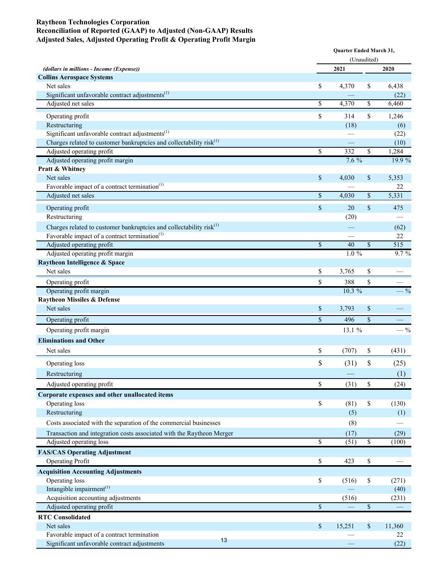#### **Raytheon Technologies Corporation Reconciliation of Reported (GAAP) to Adjusted (Non-GAAP) Results Adjusted Sales, Adjusted Operating Profit & Operating Profit Margin**

|                                                                                                                                              |                          | Quarter Ended March 31,<br>(Unaudited) |                         |                  |  |
|----------------------------------------------------------------------------------------------------------------------------------------------|--------------------------|----------------------------------------|-------------------------|------------------|--|
|                                                                                                                                              |                          |                                        |                         |                  |  |
| (dollars in millions - Income (Expense))<br><b>Collins Aerospace Systems</b>                                                                 |                          | 2021                                   |                         | 2020             |  |
| Net sales                                                                                                                                    | \$                       | 4,370                                  | \$                      | 6,438            |  |
| Significant unfavorable contract adjustments <sup>(1)</sup>                                                                                  |                          |                                        |                         | (22)             |  |
| Adjusted net sales                                                                                                                           | \$                       | 4,370                                  | \$                      | 6,460            |  |
|                                                                                                                                              |                          |                                        |                         |                  |  |
| Operating profit                                                                                                                             | \$                       | 314                                    | \$                      | 1,246            |  |
| Restructuring<br>Significant unfavorable contract adjustments $^{(1)}$                                                                       |                          | (18)                                   |                         | (6)              |  |
| Charges related to customer bankruptcies and collectability $risk(1)$                                                                        |                          |                                        |                         | (22)<br>(10)     |  |
| Adjusted operating profit                                                                                                                    | \$                       | 332                                    | \$                      | 1,284            |  |
| Adjusted operating profit margin                                                                                                             |                          | $7.6\%$                                |                         | 19.9 %           |  |
| Pratt & Whitney                                                                                                                              |                          |                                        |                         |                  |  |
| Net sales                                                                                                                                    | \$                       | 4,030                                  | \$                      | 5,353            |  |
| Favorable impact of a contract termination <sup>(1)</sup>                                                                                    |                          |                                        |                         | 22               |  |
| Adjusted net sales                                                                                                                           | $\mathbf S$              | 4,030                                  | $\$$                    | 5,331            |  |
| Operating profit                                                                                                                             | \$                       | 20                                     | \$                      | 475              |  |
| Restructuring                                                                                                                                |                          | (20)                                   |                         |                  |  |
|                                                                                                                                              |                          |                                        |                         |                  |  |
| Charges related to customer bankruptcies and collectability risk <sup>(1)</sup><br>Favorable impact of a contract termination <sup>(1)</sup> |                          |                                        |                         | (62)<br>22       |  |
| Adjusted operating profit                                                                                                                    | $\mathbf S$              | 40                                     | $\mathbf{\$}$           | $\overline{515}$ |  |
| Adjusted operating profit margin                                                                                                             |                          | $1.0\%$                                |                         | 9.7%             |  |
| Raytheon Intelligence & Space                                                                                                                |                          |                                        |                         |                  |  |
| Net sales                                                                                                                                    | \$                       | 3,765                                  | \$                      |                  |  |
| Operating profit                                                                                                                             | \$                       | 388                                    | \$                      |                  |  |
| Operating profit margin                                                                                                                      |                          | 10.3 %                                 |                         | $- \frac{9}{6}$  |  |
| <b>Raytheon Missiles &amp; Defense</b>                                                                                                       |                          |                                        |                         |                  |  |
| Net sales                                                                                                                                    | \$                       | 3,793                                  | \$                      |                  |  |
| Operating profit                                                                                                                             | $\mathbf S$              | 496                                    | $\mathbf{\hat{S}}$      |                  |  |
|                                                                                                                                              |                          | 13.1 %                                 |                         | $-$ %            |  |
| Operating profit margin                                                                                                                      |                          |                                        |                         |                  |  |
| <b>Eliminations and Other</b>                                                                                                                |                          |                                        |                         |                  |  |
| Net sales                                                                                                                                    | \$                       | (707)                                  | \$                      | (431)            |  |
| Operating loss                                                                                                                               | \$                       | (31)                                   | \$                      | (25)             |  |
| Restructuring                                                                                                                                |                          |                                        |                         | (1)              |  |
| Adjusted operating profit                                                                                                                    | \$                       | (31)                                   | \$                      | (24)             |  |
| Corporate expenses and other unallocated items                                                                                               |                          |                                        |                         |                  |  |
| Operating loss                                                                                                                               | \$                       | (81)                                   | \$                      | (130)            |  |
| Restructuring                                                                                                                                |                          | (5)                                    |                         | (1)              |  |
| Costs associated with the separation of the commercial businesses                                                                            |                          | (8)                                    |                         |                  |  |
|                                                                                                                                              |                          |                                        |                         |                  |  |
| Transaction and integration costs associated with the Raytheon Merger<br>Adjusted operating loss                                             | $\overline{\mathcal{S}}$ | (17)<br>(51)                           | $\overline{\mathbb{S}}$ | (29)<br>(100)    |  |
|                                                                                                                                              |                          |                                        |                         |                  |  |
| <b>FAS/CAS Operating Adjustment</b><br><b>Operating Profit</b>                                                                               | \$                       | 423                                    | \$                      |                  |  |
|                                                                                                                                              |                          |                                        |                         |                  |  |
| <b>Acquisition Accounting Adjustments</b><br>Operating loss                                                                                  | \$                       |                                        |                         |                  |  |
| Intangible impairment <sup>(1)</sup>                                                                                                         |                          | (516)                                  | \$                      | (271)<br>(40)    |  |
| Acquisition accounting adjustments                                                                                                           |                          | (516)                                  |                         | (231)            |  |
| Adjusted operating profit                                                                                                                    | $\$$                     |                                        | $\$$                    |                  |  |
| <b>RTC</b> Consolidated                                                                                                                      |                          |                                        |                         |                  |  |
| Net sales                                                                                                                                    | $\mathcal{S}$            | 15,251                                 | \$                      | 11,360           |  |
| Favorable impact of a contract termination                                                                                                   |                          |                                        |                         | 22               |  |
| 13<br>Significant unfavorable contract adjustments                                                                                           |                          |                                        |                         | (22)             |  |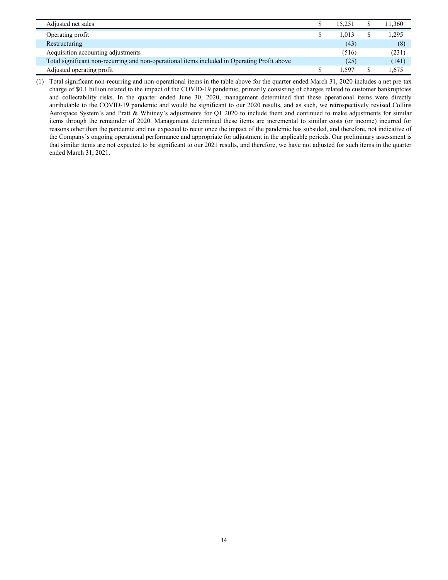| Adjusted net sales                                                                           | 15.251 | 11,360 |
|----------------------------------------------------------------------------------------------|--------|--------|
| Operating profit                                                                             | 1.013  | 1,295  |
| Restructuring                                                                                | (43)   | (8)    |
| Acquisition accounting adjustments                                                           | (516)  | (231)  |
| Total significant non-recurring and non-operational items included in Operating Profit above | (25)   | (141)  |
| Adjusted operating profit                                                                    | .597   | .675   |

(1) Total significant non-recurring and non-operational items in the table above for the quarter ended March 31, 2020 includes a net pre-tax charge of \$0.1 billion related to the impact of the COVID-19 pandemic, primarily consisting of charges related to customer bankruptcies and collectability risks. In the quarter ended June 30, 2020, management determined that these operational items were directly attributable to the COVID-19 pandemic and would be significant to our 2020 results, and as such, we retrospectively revised Collins Aerospace System's and Pratt & Whitney's adjustments for Q1 2020 to include them and continued to make adjustments for similar items through the remainder of 2020. Management determined these items are incremental to similar costs (or income) incurred for reasons other than the pandemic and not expected to recur once the impact of the pandemic has subsided, and therefore, not indicative of the Company's ongoing operational performance and appropriate for adjustment in the applicable periods. Our preliminary assessment is that similar items are not expected to be significant to our 2021 results, and therefore, we have not adjusted for such items in the quarter ended March 31, 2021.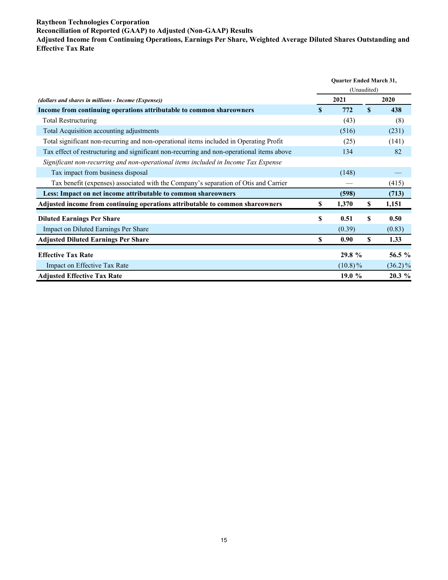#### **Raytheon Technologies Corporation Reconciliation of Reported (GAAP) to Adjusted (Non-GAAP) Results Adjusted Income from Continuing Operations, Earnings Per Share, Weighted Average Diluted Shares Outstanding and Effective Tax Rate**

|                                                                                           | Quarter Ended March 31, |            |              |            |
|-------------------------------------------------------------------------------------------|-------------------------|------------|--------------|------------|
|                                                                                           | (Unaudited)             |            |              |            |
| (dollars and shares in millions - Income (Expense))                                       |                         | 2021       |              | 2020       |
| Income from continuing operations attributable to common shareowners                      | <b>S</b>                | 772        | $\mathbf{s}$ | 438        |
| <b>Total Restructuring</b>                                                                |                         | (43)       |              | (8)        |
| Total Acquisition accounting adjustments                                                  |                         | (516)      |              | (231)      |
| Total significant non-recurring and non-operational items included in Operating Profit    |                         | (25)       |              | (141)      |
| Tax effect of restructuring and significant non-recurring and non-operational items above |                         | 134        |              | 82         |
| Significant non-recurring and non-operational items included in Income Tax Expense        |                         |            |              |            |
| Tax impact from business disposal                                                         |                         | (148)      |              |            |
| Tax benefit (expenses) associated with the Company's separation of Otis and Carrier       |                         |            |              | (415)      |
| Less: Impact on net income attributable to common shareowners                             |                         | (598)      |              | (713)      |
| Adjusted income from continuing operations attributable to common shareowners             | S                       | 1,370      | \$           | 1,151      |
| <b>Diluted Earnings Per Share</b>                                                         | S                       | 0.51       | S            | 0.50       |
| Impact on Diluted Earnings Per Share                                                      |                         | (0.39)     |              | (0.83)     |
| <b>Adjusted Diluted Earnings Per Share</b>                                                | \$                      | 0.90       | \$           | 1.33       |
| <b>Effective Tax Rate</b>                                                                 |                         | 29.8%      |              | 56.5 %     |
| Impact on Effective Tax Rate                                                              |                         | $(10.8)\%$ |              | $(36.2)\%$ |
| <b>Adjusted Effective Tax Rate</b>                                                        |                         | 19.0 %     |              | $20.3\%$   |